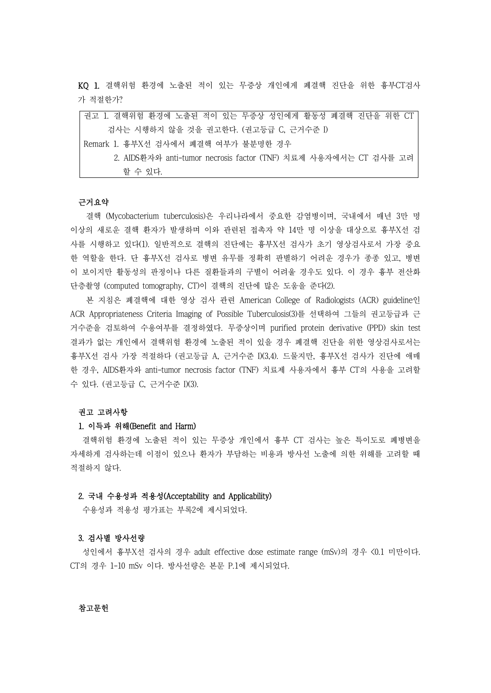KQ 1. 결핵위험 환경에 노출된 적이 있는 무증상 개인에게 폐결핵 진단을 위한 흉부CT검사 가 적절한가?

| 검사는 시행하지 않을 것을 권고한다. (권고등급 C, 근거수준 I)<br>Remark 1. 흉부X선 검사에서 폐결핵 여부가 불분명한 경우<br>2. AIDS환자와 anti-tumor necrosis factor (TNF) 치료제 사용자에서는 CT 검사를 고려 |
|--------------------------------------------------------------------------------------------------------------------------------------------------|
|                                                                                                                                                  |
|                                                                                                                                                  |
|                                                                                                                                                  |
| 할 수 있다.                                                                                                                                          |

 결핵 (Mycobacterium tuberculosis)은 우리나라에서 중요한 감염병이며, 국내에서 매년 3만 명 이상의 새로운 결핵 환자가 발생하며 이와 관련된 접촉자 약 14만 명 이상을 대상으로 흉부X선 검 사를 시행하고 있다(1). 일반적으로 결핵의 진단에는 흉부X선 검사가 초기 영상검사로서 가장 중요 한 역할을 한다. 단 흉부X선 검사로 병변 유무를 정확히 판별하기 어려운 경우가 종종 있고, 병변 이 보이지만 활동성의 판정이나 다른 질환들과의 구별이 어려울 경우도 있다. 이 경우 흉부 전산화 단층촬영 (computed tomography, CT)이 결핵의 진단에 많은 도움을 준다(2).

 본 지침은 폐결핵에 대한 영상 검사 관련 American College of Radiologists (ACR) guideline인 ACR Appropriateness Criteria Imaging of Possible Tuberculosis(3)를 선택하여 그들의 권고등급과 근 거수준을 검토하여 수용여부를 결정하였다. 무증상이며 purified protein derivative (PPD) skin test 결과가 없는 개인에서 결핵위험 환경에 노출된 적이 있을 경우 폐결핵 진단을 위한 영상검사로서는 흉부X선 검사 가장 적절하다 (권고등급 A, 근거수준 I)(3,4). 드물지만, 흉부X선 검사가 진단에 애매 한 경우, AIDS환자와 anti-tumor necrosis factor (TNF) 치료제 사용자에서 흉부 CT의 사용을 고려할 수 있다. (권고등급 C, 근거수준 I)(3).

### 권고 고려사항

# 1. 이득과 위해(Benefit and Harm)

결핵위험 환경에 노출된 적이 있는 무증상 개인에서 흉부 CT 검사는 높은 특이도로 폐병변을 자세하게 검사하는데 이점이 있으나 환자가 부담하는 비용과 방사선 노출에 의한 위해를 고려할 때 적절하지 않다.

### 2. 국내 수용성과 적용성(Acceptability and Applicability)

수용성과 적용성 평가표는 부록2에 제시되었다.

#### 3. 검사별 방사선량

성인에서 흉부X선 검사의 경우 adult effective dose estimate range (mSv)의 경우 <0.1 미만이다. CT의 경우 1-10 mSv 이다. 방사선량은 본문 P.1에 제시되었다.

## 참고문헌